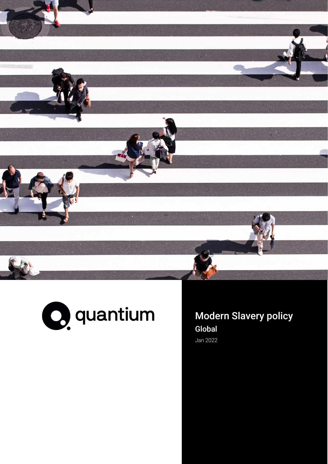

Classification: Confidential



Modern Slavery policy Global Jan 2022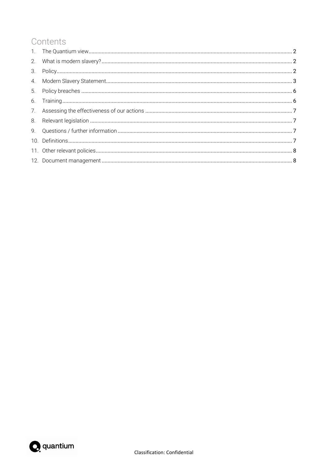## Contents

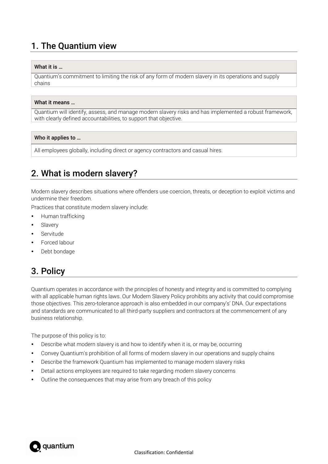# <span id="page-2-0"></span>1. The Quantium view

## What it is …

Quantium's commitment to limiting the risk of any form of modern slavery in its operations and supply chains

#### What it means …

Quantium will identify, assess, and manage modern slavery risks and has implemented a robust framework, with clearly defined accountabilities, to support that objective.

### Who it applies to …

<span id="page-2-1"></span>All employees globally, including direct or agency contractors and casual hires.

## 2. What is modern slavery?

Modern slavery describes situations where offenders use coercion, threats, or deception to exploit victims and undermine their freedom.

Practices that constitute modern slavery include:

- Human trafficking
- Slavery
- Servitude
- Forced labour
- <span id="page-2-2"></span>Debt bondage

## 3. Policy

Quantium operates in accordance with the principles of honesty and integrity and is committed to complying with all applicable human rights laws. Our Modern Slavery Policy prohibits any activity that could compromise those objectives. This zero-tolerance approach is also embedded in our company's' DNA. Our expectations and standards are communicated to all third-party suppliers and contractors at the commencement of any business relationship.

The purpose of this policy is to:

- Describe what modern slavery is and how to identify when it is, or may be, occurring
- Convey Quantium's prohibition of all forms of modern slavery in our operations and supply chains
- Describe the framework Quantium has implemented to manage modern slavery risks
- Detail actions employees are required to take regarding modern slavery concerns
- Outline the consequences that may arise from any breach of this policy

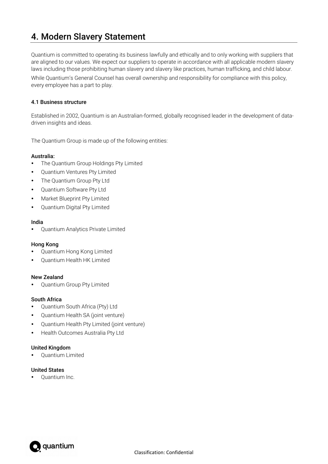## <span id="page-3-0"></span>4. Modern Slavery Statement

Quantium is committed to operating its business lawfully and ethically and to only working with suppliers that are aligned to our values. We expect our suppliers to operate in accordance with all applicable modern slavery laws including those prohibiting human slavery and slavery like practices, human trafficking, and child labour. While Quantium's General Counsel has overall ownership and responsibility for compliance with this policy, every employee has a part to play.

## 4.1 Business structure

Established in 2002, Quantium is an Australian-formed, globally recognised leader in the development of datadriven insights and ideas.

The Quantium Group is made up of the following entities:

## Australia:

- The Quantium Group Holdings Pty Limited
- Quantium Ventures Pty Limited
- The Quantium Group Pty Ltd
- Quantium Software Pty Ltd
- Market Blueprint Pty Limited
- Quantium Digital Pty Limited

### India

Quantium Analytics Private Limited

## Hong Kong

- Quantium Hong Kong Limited
- Quantium Health HK Limited

## New Zealand

Quantium Group Pty Limited

## South Africa

- Quantium South Africa (Pty) Ltd
- Quantium Health SA (joint venture)
- Quantium Health Pty Limited (joint venture)
- Health Outcomes Australia Pty Ltd

## United Kingdom

Quantium Limited

## United States

• Quantium Inc.

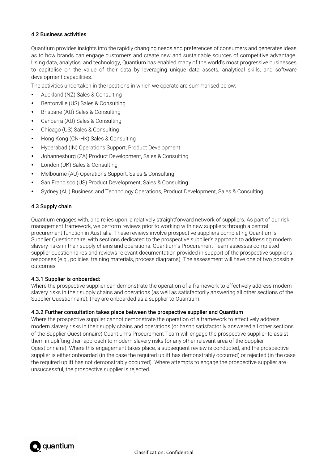## 4.2 Business activities

Quantium provides insights into the rapidly changing needs and preferences of consumers and generates ideas as to how brands can engage customers and create new and sustainable sources of competitive advantage. Using data, analytics, and technology, Quantium has enabled many of the world's most progressive businesses to capitalise on the value of their data by leveraging unique data assets, analytical skills, and software development capabilities.

The activities undertaken in the locations in which we operate are summarised below:

- Auckland (NZ) Sales & Consulting
- Bentonville (US) Sales & Consulting
- Brisbane (AU) Sales & Consulting
- Canberra (AU) Sales & Consulting
- Chicago (US) Sales & Consulting
- Hong Kong (CN-HK) Sales & Consulting
- Hyderabad (IN) Operations Support, Product Development
- Johannesburg (ZA) Product Development, Sales & Consulting
- London (UK) Sales & Consulting
- Melbourne (AU) Operations Support, Sales & Consulting
- San Francisco (US) Product Development, Sales & Consulting
- Sydney (AU) Business and Technology Operations, Product Development, Sales & Consulting.

## 4.3 Supply chain

Quantium engages with, and relies upon, a relatively straightforward network of suppliers. As part of our risk management framework, we perform reviews prior to working with new suppliers through a central procurement function in Australia. These reviews involve prospective suppliers completing Quantium's Supplier Questionnaire, with sections dedicated to the prospective supplier's approach to addressing modern slavery risks in their supply chains and operations. Quantium's Procurement Team assesses completed supplier questionnaires and reviews relevant documentation provided in support of the prospective supplier's responses (e.g., policies, training materials, process diagrams). The assessment will have one of two possible outcomes:

## 4.3.1 Supplier is onboarded:

Where the prospective supplier can demonstrate the operation of a framework to effectively address modern slavery risks in their supply chains and operations (as well as satisfactorily answering all other sections of the Supplier Questionnaire), they are onboarded as a supplier to Quantium.

## 4.3.2 Further consultation takes place between the prospective supplier and Quantium

Where the prospective supplier cannot demonstrate the operation of a framework to effectively address modern slavery risks in their supply chains and operations (or hasn't satisfactorily answered all other sections of the Supplier Questionnaire) Quantium's Procurement Team will engage the prospective supplier to assist them in uplifting their approach to modern slavery risks (or any other relevant area of the Supplier Questionnaire). Where this engagement takes place, a subsequent review is conducted, and the prospective supplier is either onboarded (in the case the required uplift has demonstrably occurred) or rejected (in the case the required uplift has not demonstrably occurred). Where attempts to engage the prospective supplier are unsuccessful, the prospective supplier is rejected.

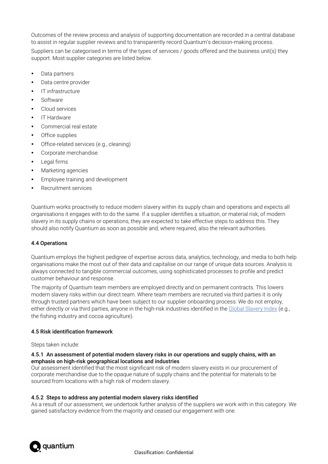Outcomes of the review process and analysis of supporting documentation are recorded in a central database to assist in regular supplier reviews and to transparently record Quantium's decision-making process.

Suppliers can be categorised in terms of the types of services / goods offered and the business unit(s) they support. Most supplier categories are listed below.

- Data partners
- Data centre provider
- IT infrastructure
- Software
- Cloud services
- IT Hardware
- Commercial real estate
- Office supplies
- Office-related services (e.g., cleaning)
- Corporate merchandise
- Legal firms
- Marketing agencies
- Employee training and development
- Recruitment services

Quantium works proactively to reduce modern slavery within its supply chain and operations and expects all organisations it engages with to do the same. If a supplier identifies a situation, or material risk, of modern slavery in its supply chains or operations, they are expected to take effective steps to address this. They should also notify Quantium as soon as possible and, where required, also the relevant authorities.

## 4.4 Operations

Quantium employs the highest pedigree of expertise across data, analytics, technology, and media to both help organisations make the most out of their data and capitalise on our range of unique data sources. Analysis is always connected to tangible commercial outcomes, using sophisticated processes to profile and predict customer behaviour and response.

The majority of Quantium team members are employed directly and on permanent contracts. This lowers modern slavery risks within our direct team. Where team members are recruited via third parties it is only through trusted partners which have been subject to our supplier onboarding process. We do not employ, either directly or via third parties, anyone in the high-risk industries identified in th[e Global Slavery Index \(](https://www.globalslaveryindex.org/)e.g., the fishing industry and cocoa agriculture).

## 4.5 Risk identification framework

#### Steps taken include:

### 4.5.1 An assessment of potential modern slavery risks in our operations and supply chains, with an emphasis on high-risk geographical locations and industries

Our assessment identified that the most significant risk of modern slavery exists in our procurement of corporate merchandise due to the opaque nature of supply chains and the potential for materials to be sourced from locations with a high risk of modern slavery.

## 4.5.2 Steps to address any potential modern slavery risks identified

As a result of our assessment, we undertook further analysis of the suppliers we work with in this category. We gained satisfactory evidence from the majority and ceased our engagement with one.

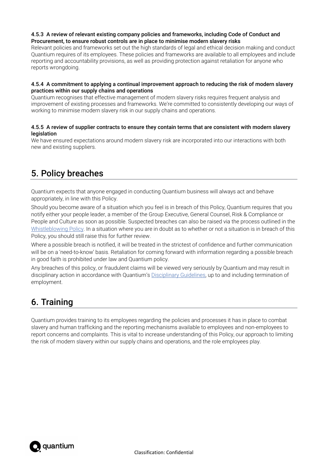## 4.5.3 A review of relevant existing company policies and frameworks, including Code of Conduct and Procurement, to ensure robust controls are in place to minimise modern slavery risks

Relevant policies and frameworks set out the high standards of legal and ethical decision making and conduct Quantium requires of its employees. These policies and frameworks are available to all employees and include reporting and accountability provisions, as well as providing protection against retaliation for anyone who reports wrongdoing.

## 4.5.4 A commitment to applying a continual improvement approach to reducing the risk of modern slavery practices within our supply chains and operations

Quantium recognises that effective management of modern slavery risks requires frequent analysis and improvement of existing processes and frameworks. We're committed to consistently developing our ways of working to minimise modern slavery risk in our supply chains and operations.

## 4.5.5 A review of supplier contracts to ensure they contain terms that are consistent with modern slavery **legislation**

We have ensured expectations around modern slavery risk are incorporated into our interactions with both new and existing suppliers.

# <span id="page-6-0"></span>5. Policy breaches

Quantium expects that anyone engaged in conducting Quantium business will always act and behave appropriately, in line with this Policy.

Should you become aware of a situation which you feel is in breach of this Policy, Quantium requires that you notify either your people leader, a member of the Group Executive, General Counsel, Risk & Compliance or People and Culture as soon as possible. Suspected breaches can also be raised via the process outlined in the [Whistleblowing Policy.](https://confluence.quantium.com.au/display/PP/Conduct?preview=/73477507/106751667/Quantium%20WB%20Policy%20Final%2019%20December%202019%20(Internal)%20V3.pdf) In a situation where you are in doubt as to whether or not a situation is in breach of this Policy, you should still raise this for further review.

Where a possible breach is notified, it will be treated in the strictest of confidence and further communication will be on a 'need-to-know' basis. Retaliation for coming forward with information regarding a possible breach in good faith is prohibited under law and Quantium policy.

Any breaches of this policy, or fraudulent claims will be viewed very seriously by Quantium and may result in disciplinary action in accordance with Quantium's [Disciplinary Guidelines,](https://confluence.quantium.com.au/display/PP/Conduct?preview=/73477507/127377231/Performance%20Improvement%20%26%20Disciplinary%20Guidelines%20September%202020%20(V2).pdf) up to and including termination of employment.

## <span id="page-6-1"></span>6. Training

Quantium provides training to its employees regarding the policies and processes it has in place to combat slavery and human trafficking and the reporting mechanisms available to employees and non-employees to report concerns and complaints. This is vital to increase understanding of this Policy, our approach to limiting the risk of modern slavery within our supply chains and operations, and the role employees play.

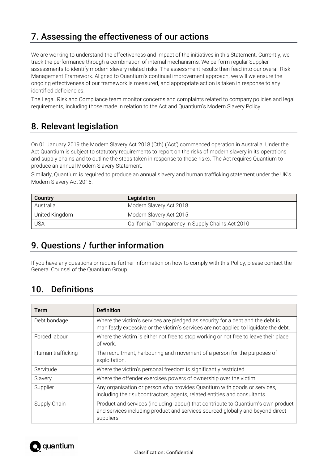# <span id="page-7-0"></span>7. Assessing the effectiveness of our actions

We are working to understand the effectiveness and impact of the initiatives in this Statement. Currently, we track the performance through a combination of internal mechanisms. We perform regular Supplier assessments to identify modern slavery related risks. The assessment results then feed into our overall Risk Management Framework. Aligned to Quantium's continual improvement approach, we will we ensure the ongoing effectiveness of our framework is measured, and appropriate action is taken in response to any identified deficiencies.

The Legal, Risk and Compliance team monitor concerns and complaints related to company policies and legal requirements, including those made in relation to the Act and Quantium's Modern Slavery Policy.

# <span id="page-7-1"></span>8. Relevant legislation

On 01 January 2019 the Modern Slavery Act 2018 (Cth) ('Act') commenced operation in Australia. Under the Act Quantium is subject to statutory requirements to report on the risks of modern slavery in its operations and supply chains and to outline the steps taken in response to those risks. The Act requires Quantium to produce an annual Modern Slavery Statement.

Similarly, Quantium is required to produce an annual slavery and human trafficking statement under the UK's Modern Slavery Act 2015.

| Country        | Legislation                                       |
|----------------|---------------------------------------------------|
| Australia      | Modern Slavery Act 2018                           |
| United Kingdom | Modern Slavery Act 2015                           |
| <b>USA</b>     | California Transparency in Supply Chains Act 2010 |

## <span id="page-7-2"></span>9. Questions / further information

If you have any questions or require further information on how to comply with this Policy, please contact the General Counsel of the Quantium Group.

## <span id="page-7-3"></span>10. Definitions

| <b>Term</b>       | <b>Definition</b>                                                                                                                                                                 |  |
|-------------------|-----------------------------------------------------------------------------------------------------------------------------------------------------------------------------------|--|
| Debt bondage      | Where the victim's services are pledged as security for a debt and the debt is<br>manifestly excessive or the victim's services are not applied to liquidate the debt.            |  |
| Forced labour     | Where the victim is either not free to stop working or not free to leave their place<br>of work.                                                                                  |  |
| Human trafficking | The recruitment, harbouring and movement of a person for the purposes of<br>exploitation.                                                                                         |  |
| Servitude         | Where the victim's personal freedom is significantly restricted.                                                                                                                  |  |
| Slavery           | Where the offender exercises powers of ownership over the victim.                                                                                                                 |  |
| Supplier          | Any organisation or person who provides Quantium with goods or services,<br>including their subcontractors, agents, related entities and consultants.                             |  |
| Supply Chain      | Product and services (including labour) that contribute to Quantium's own product<br>and services including product and services sourced globally and beyond direct<br>suppliers. |  |